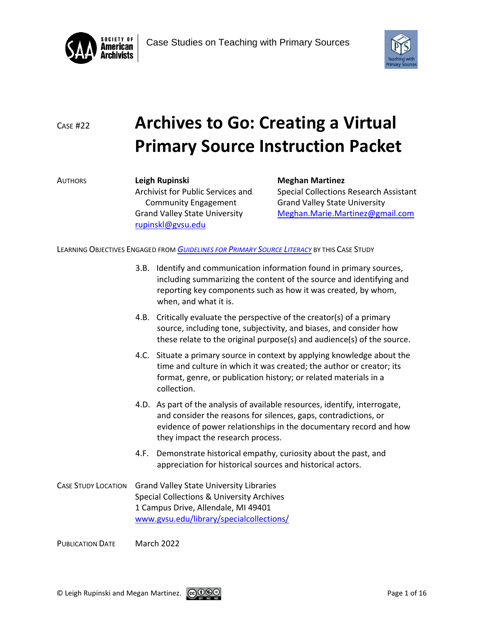



# <sup>C</sup>ASE #22 **Archives to Go: Creating a Virtual Primary Source Instruction Packet**

AUTHORS **Leigh Rupinski Meghan Martinez** Archivist for Public Services and Special Collections Research Assistant Community Engagement Grand Valley State University [rupinskl@gvsu.edu](mailto:rupinskl@gvsu.edu)

Grand Valley State University [Meghan.Marie.Martinez@gmail.com](mailto:Meghan.Marie.Martinez@gmail.com)

LEARNING OBJECTIVES ENGAGED FROM *G[UIDELINES FOR](https://www2.archivists.org/sites/all/files/GuidelinesForPrimarySourceLiteracy-June2018.pdf) PRIMARY SOURCE LITERACY* BY THIS CASE STUDY

- 3.B. Identify and communication information found in primary sources, including summarizing the content of the source and identifying and reporting key components such as how it was created, by whom, when, and what it is.
- 4.B. Critically evaluate the perspective of the creator(s) of a primary source, including tone, subjectivity, and biases, and consider how these relate to the original purpose(s) and audience(s) of the source.
- 4.C. Situate a primary source in context by applying knowledge about the time and culture in which it was created; the author or creator; its format, genre, or publication history; or related materials in a collection.
- 4.D. As part of the analysis of available resources, identify, interrogate, and consider the reasons for silences, gaps, contradictions, or evidence of power relationships in the documentary record and how they impact the research process.
- 4.F. Demonstrate historical empathy, curiosity about the past, and appreciation for historical sources and historical actors.
- CASE STUDY LOCATION Grand Valley State University Libraries Special Collections & University Archives 1 Campus Drive, Allendale, MI 49401 [www.gvsu.edu/library/specialcollections/](http://www.gvsu.edu/library/specialcollections/)

PUBLICATION DATE March 2022

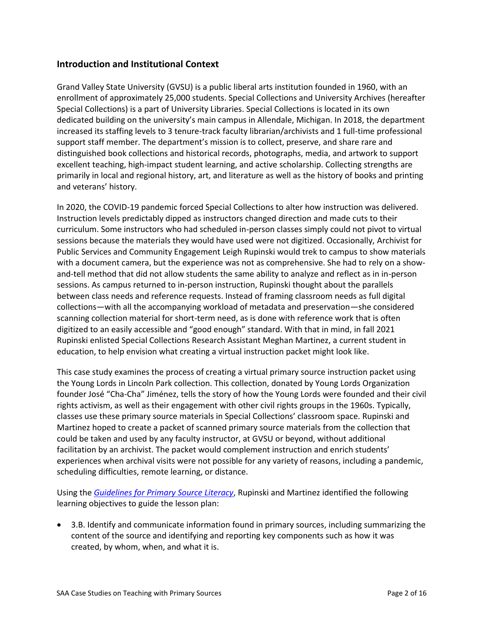# **Introduction and Institutional Context**

Grand Valley State University (GVSU) is a public liberal arts institution founded in 1960, with an enrollment of approximately 25,000 students. Special Collections and University Archives (hereafter Special Collections) is a part of University Libraries. Special Collections is located in its own dedicated building on the university's main campus in Allendale, Michigan. In 2018, the department increased its staffing levels to 3 tenure-track faculty librarian/archivists and 1 full-time professional support staff member. The department's mission is to collect, preserve, and share rare and distinguished book collections and historical records, photographs, media, and artwork to support excellent teaching, high-impact student learning, and active scholarship. Collecting strengths are primarily in local and regional history, art, and literature as well as the history of books and printing and veterans' history.

In 2020, the COVID-19 pandemic forced Special Collections to alter how instruction was delivered. Instruction levels predictably dipped as instructors changed direction and made cuts to their curriculum. Some instructors who had scheduled in-person classes simply could not pivot to virtual sessions because the materials they would have used were not digitized. Occasionally, Archivist for Public Services and Community Engagement Leigh Rupinski would trek to campus to show materials with a document camera, but the experience was not as comprehensive. She had to rely on a showand-tell method that did not allow students the same ability to analyze and reflect as in in-person sessions. As campus returned to in-person instruction, Rupinski thought about the parallels between class needs and reference requests. Instead of framing classroom needs as full digital collections—with all the accompanying workload of metadata and preservation—she considered scanning collection material for short-term need, as is done with reference work that is often digitized to an easily accessible and "good enough" standard. With that in mind, in fall 2021 Rupinski enlisted Special Collections Research Assistant Meghan Martinez, a current student in education, to help envision what creating a virtual instruction packet might look like.

This case study examines the process of creating a virtual primary source instruction packet using the Young Lords in Lincoln Park collection. This collection, donated by Young Lords Organization founder José "Cha-Cha" Jiménez, tells the story of how the Young Lords were founded and their civil rights activism, as well as their engagement with other civil rights groups in the 1960s. Typically, classes use these primary source materials in Special Collections' classroom space. Rupinski and Martinez hoped to create a packet of scanned primary source materials from the collection that could be taken and used by any faculty instructor, at GVSU or beyond, without additional facilitation by an archivist. The packet would complement instruction and enrich students' experiences when archival visits were not possible for any variety of reasons, including a pandemic, scheduling difficulties, remote learning, or distance.

Using the *[Guidelines for Primary Source Literacy](https://www2.archivists.org/sites/all/files/GuidelinesForPrimarySourceLiteracy-June2018.pdf)*, Rupinski and Martinez identified the following learning objectives to guide the lesson plan:

 3.B. Identify and communicate information found in primary sources, including summarizing the content of the source and identifying and reporting key components such as how it was created, by whom, when, and what it is.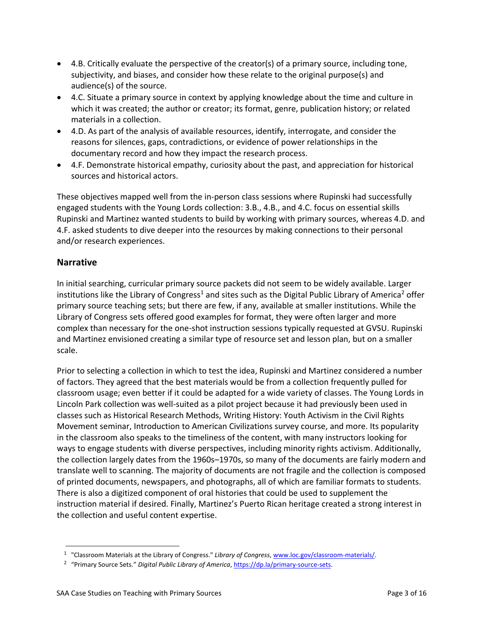- 4.B. Critically evaluate the perspective of the creator(s) of a primary source, including tone, subjectivity, and biases, and consider how these relate to the original purpose(s) and audience(s) of the source.
- 4.C. Situate a primary source in context by applying knowledge about the time and culture in which it was created; the author or creator; its format, genre, publication history; or related materials in a collection.
- 4.D. As part of the analysis of available resources, identify, interrogate, and consider the reasons for silences, gaps, contradictions, or evidence of power relationships in the documentary record and how they impact the research process.
- 4.F. Demonstrate historical empathy, curiosity about the past, and appreciation for historical sources and historical actors.

These objectives mapped well from the in-person class sessions where Rupinski had successfully engaged students with the Young Lords collection: 3.B., 4.B., and 4.C. focus on essential skills Rupinski and Martinez wanted students to build by working with primary sources, whereas 4.D. and 4.F. asked students to dive deeper into the resources by making connections to their personal and/or research experiences.

# **Narrative**

In initial searching, curricular primary source packets did not seem to be widely available. Larger institutions like the Library of Congress<sup>1</sup> and sites such as the Digital Public Library of America<sup>2</sup> offer primary source teaching sets; but there are few, if any, available at smaller institutions. While the Library of Congress sets offered good examples for format, they were often larger and more complex than necessary for the one-shot instruction sessions typically requested at GVSU. Rupinski and Martinez envisioned creating a similar type of resource set and lesson plan, but on a smaller scale.

Prior to selecting a collection in which to test the idea, Rupinski and Martinez considered a number of factors. They agreed that the best materials would be from a collection frequently pulled for classroom usage; even better if it could be adapted for a wide variety of classes. The Young Lords in Lincoln Park collection was well-suited as a pilot project because it had previously been used in classes such as Historical Research Methods, Writing History: Youth Activism in the Civil Rights Movement seminar, Introduction to American Civilizations survey course, and more. Its popularity in the classroom also speaks to the timeliness of the content, with many instructors looking for ways to engage students with diverse perspectives, including minority rights activism. Additionally, the collection largely dates from the 1960s–1970s, so many of the documents are fairly modern and translate well to scanning. The majority of documents are not fragile and the collection is composed of printed documents, newspapers, and photographs, all of which are familiar formats to students. There is also a digitized component of oral histories that could be used to supplement the instruction material if desired. Finally, Martinez's Puerto Rican heritage created a strong interest in the collection and useful content expertise.

<sup>&</sup>lt;sup>1</sup> "Classroom Materials at the Library of Congress." *Library of Congress*, [www.loc.gov/classroom-materials/.](http://www.loc.gov/classroom-materials/)

<sup>&</sup>lt;sup>2</sup> "Primary Source Sets." *Digital Public Library of America*[, https://dp.la/primary-source-sets.](https://dp.la/primary-source-sets)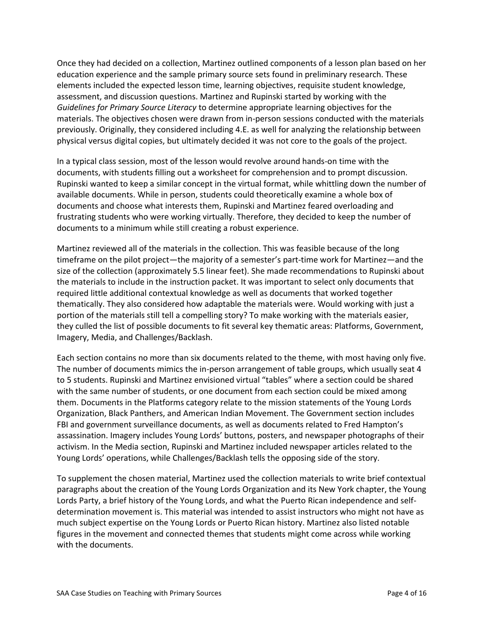Once they had decided on a collection, Martinez outlined components of a lesson plan based on her education experience and the sample primary source sets found in preliminary research. These elements included the expected lesson time, learning objectives, requisite student knowledge, assessment, and discussion questions. Martinez and Rupinski started by working with the *Guidelines for Primary Source Literacy* to determine appropriate learning objectives for the materials. The objectives chosen were drawn from in-person sessions conducted with the materials previously. Originally, they considered including 4.E. as well for analyzing the relationship between physical versus digital copies, but ultimately decided it was not core to the goals of the project.

In a typical class session, most of the lesson would revolve around hands-on time with the documents, with students filling out a worksheet for comprehension and to prompt discussion. Rupinski wanted to keep a similar concept in the virtual format, while whittling down the number of available documents. While in person, students could theoretically examine a whole box of documents and choose what interests them, Rupinski and Martinez feared overloading and frustrating students who were working virtually. Therefore, they decided to keep the number of documents to a minimum while still creating a robust experience.

Martinez reviewed all of the materials in the collection. This was feasible because of the long timeframe on the pilot project—the majority of a semester's part-time work for Martinez—and the size of the collection (approximately 5.5 linear feet). She made recommendations to Rupinski about the materials to include in the instruction packet. It was important to select only documents that required little additional contextual knowledge as well as documents that worked together thematically. They also considered how adaptable the materials were. Would working with just a portion of the materials still tell a compelling story? To make working with the materials easier, they culled the list of possible documents to fit several key thematic areas: Platforms, Government, Imagery, Media, and Challenges/Backlash.

Each section contains no more than six documents related to the theme, with most having only five. The number of documents mimics the in-person arrangement of table groups, which usually seat 4 to 5 students. Rupinski and Martinez envisioned virtual "tables" where a section could be shared with the same number of students, or one document from each section could be mixed among them. Documents in the Platforms category relate to the mission statements of the Young Lords Organization, Black Panthers, and American Indian Movement. The Government section includes FBI and government surveillance documents, as well as documents related to Fred Hampton's assassination. Imagery includes Young Lords' buttons, posters, and newspaper photographs of their activism. In the Media section, Rupinski and Martinez included newspaper articles related to the Young Lords' operations, while Challenges/Backlash tells the opposing side of the story.

To supplement the chosen material, Martinez used the collection materials to write brief contextual paragraphs about the creation of the Young Lords Organization and its New York chapter, the Young Lords Party, a brief history of the Young Lords, and what the Puerto Rican independence and selfdetermination movement is. This material was intended to assist instructors who might not have as much subject expertise on the Young Lords or Puerto Rican history. Martinez also listed notable figures in the movement and connected themes that students might come across while working with the documents.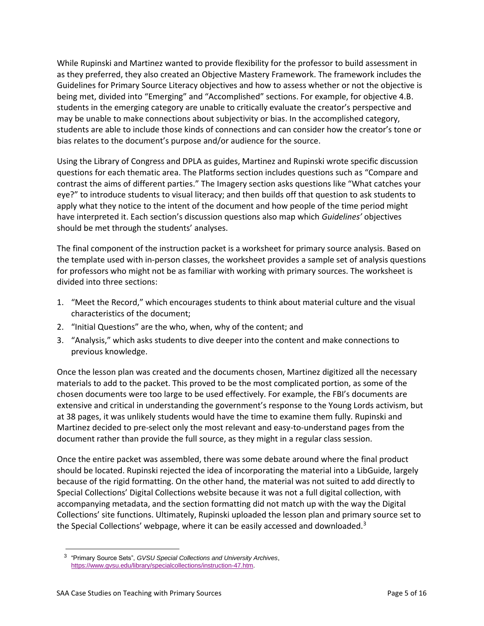While Rupinski and Martinez wanted to provide flexibility for the professor to build assessment in as they preferred, they also created an Objective Mastery Framework. The framework includes the Guidelines for Primary Source Literacy objectives and how to assess whether or not the objective is being met, divided into "Emerging" and "Accomplished" sections. For example, for objective 4.B. students in the emerging category are unable to critically evaluate the creator's perspective and may be unable to make connections about subjectivity or bias. In the accomplished category, students are able to include those kinds of connections and can consider how the creator's tone or bias relates to the document's purpose and/or audience for the source.

Using the Library of Congress and DPLA as guides, Martinez and Rupinski wrote specific discussion questions for each thematic area. The Platforms section includes questions such as "Compare and contrast the aims of different parties." The Imagery section asks questions like "What catches your eye?" to introduce students to visual literacy; and then builds off that question to ask students to apply what they notice to the intent of the document and how people of the time period might have interpreted it. Each section's discussion questions also map which *Guidelines'* objectives should be met through the students' analyses.

The final component of the instruction packet is a worksheet for primary source analysis. Based on the template used with in-person classes, the worksheet provides a sample set of analysis questions for professors who might not be as familiar with working with primary sources. The worksheet is divided into three sections:

- 1. "Meet the Record," which encourages students to think about material culture and the visual characteristics of the document;
- 2. "Initial Questions" are the who, when, why of the content; and
- 3. "Analysis," which asks students to dive deeper into the content and make connections to previous knowledge.

Once the lesson plan was created and the documents chosen, Martinez digitized all the necessary materials to add to the packet. This proved to be the most complicated portion, as some of the chosen documents were too large to be used effectively. For example, the FBI's documents are extensive and critical in understanding the government's response to the Young Lords activism, but at 38 pages, it was unlikely students would have the time to examine them fully. Rupinski and Martinez decided to pre-select only the most relevant and easy-to-understand pages from the document rather than provide the full source, as they might in a regular class session.

Once the entire packet was assembled, there was some debate around where the final product should be located. Rupinski rejected the idea of incorporating the material into a LibGuide, largely because of the rigid formatting. On the other hand, the material was not suited to add directly to Special Collections' Digital Collections website because it was not a full digital collection, with accompanying metadata, and the section formatting did not match up with the way the Digital Collections' site functions. Ultimately, Rupinski uploaded the lesson plan and primary source set to the Special Collections' webpage, where it can be easily accessed and downloaded.<sup>3</sup>

 $\overline{a}$ 

<sup>3</sup> "Primary Source Sets", *GVSU Special Collections and University Archives*, [https://www.gvsu.edu/library/specialcollections/instruction-47.htm.](https://www.gvsu.edu/library/specialcollections/instruction-47.htm)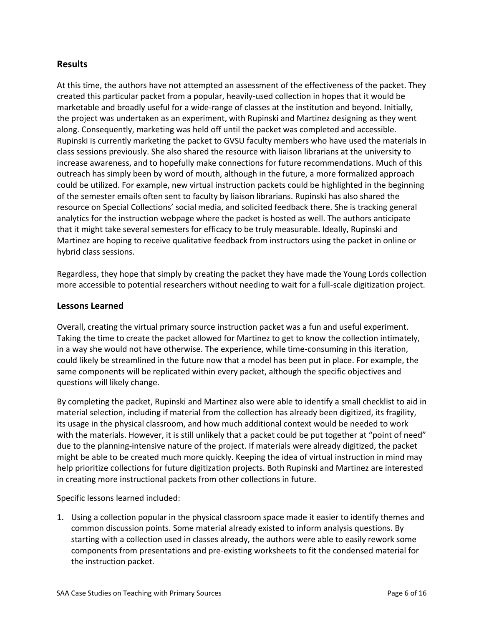### **Results**

At this time, the authors have not attempted an assessment of the effectiveness of the packet. They created this particular packet from a popular, heavily-used collection in hopes that it would be marketable and broadly useful for a wide-range of classes at the institution and beyond. Initially, the project was undertaken as an experiment, with Rupinski and Martinez designing as they went along. Consequently, marketing was held off until the packet was completed and accessible. Rupinski is currently marketing the packet to GVSU faculty members who have used the materials in class sessions previously. She also shared the resource with liaison librarians at the university to increase awareness, and to hopefully make connections for future recommendations. Much of this outreach has simply been by word of mouth, although in the future, a more formalized approach could be utilized. For example, new virtual instruction packets could be highlighted in the beginning of the semester emails often sent to faculty by liaison librarians. Rupinski has also shared the resource on Special Collections' social media, and solicited feedback there. She is tracking general analytics for the instruction webpage where the packet is hosted as well. The authors anticipate that it might take several semesters for efficacy to be truly measurable. Ideally, Rupinski and Martinez are hoping to receive qualitative feedback from instructors using the packet in online or hybrid class sessions.

Regardless, they hope that simply by creating the packet they have made the Young Lords collection more accessible to potential researchers without needing to wait for a full-scale digitization project.

#### **Lessons Learned**

Overall, creating the virtual primary source instruction packet was a fun and useful experiment. Taking the time to create the packet allowed for Martinez to get to know the collection intimately, in a way she would not have otherwise. The experience, while time-consuming in this iteration, could likely be streamlined in the future now that a model has been put in place. For example, the same components will be replicated within every packet, although the specific objectives and questions will likely change.

By completing the packet, Rupinski and Martinez also were able to identify a small checklist to aid in material selection, including if material from the collection has already been digitized, its fragility, its usage in the physical classroom, and how much additional context would be needed to work with the materials. However, it is still unlikely that a packet could be put together at "point of need" due to the planning-intensive nature of the project. If materials were already digitized, the packet might be able to be created much more quickly. Keeping the idea of virtual instruction in mind may help prioritize collections for future digitization projects. Both Rupinski and Martinez are interested in creating more instructional packets from other collections in future.

Specific lessons learned included:

1. Using a collection popular in the physical classroom space made it easier to identify themes and common discussion points. Some material already existed to inform analysis questions. By starting with a collection used in classes already, the authors were able to easily rework some components from presentations and pre-existing worksheets to fit the condensed material for the instruction packet.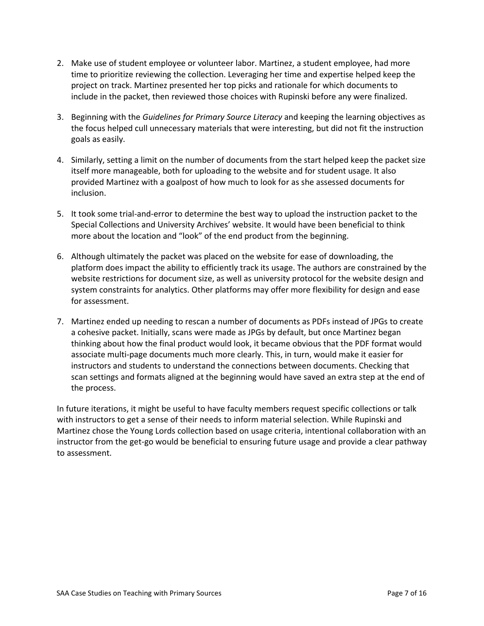- 2. Make use of student employee or volunteer labor. Martinez, a student employee, had more time to prioritize reviewing the collection. Leveraging her time and expertise helped keep the project on track. Martinez presented her top picks and rationale for which documents to include in the packet, then reviewed those choices with Rupinski before any were finalized.
- 3. Beginning with the *Guidelines for Primary Source Literacy* and keeping the learning objectives as the focus helped cull unnecessary materials that were interesting, but did not fit the instruction goals as easily.
- 4. Similarly, setting a limit on the number of documents from the start helped keep the packet size itself more manageable, both for uploading to the website and for student usage. It also provided Martinez with a goalpost of how much to look for as she assessed documents for inclusion.
- 5. It took some trial-and-error to determine the best way to upload the instruction packet to the Special Collections and University Archives' website. It would have been beneficial to think more about the location and "look" of the end product from the beginning.
- 6. Although ultimately the packet was placed on the website for ease of downloading, the platform does impact the ability to efficiently track its usage. The authors are constrained by the website restrictions for document size, as well as university protocol for the website design and system constraints for analytics. Other platforms may offer more flexibility for design and ease for assessment.
- 7. Martinez ended up needing to rescan a number of documents as PDFs instead of JPGs to create a cohesive packet. Initially, scans were made as JPGs by default, but once Martinez began thinking about how the final product would look, it became obvious that the PDF format would associate multi-page documents much more clearly. This, in turn, would make it easier for instructors and students to understand the connections between documents. Checking that scan settings and formats aligned at the beginning would have saved an extra step at the end of the process.

In future iterations, it might be useful to have faculty members request specific collections or talk with instructors to get a sense of their needs to inform material selection. While Rupinski and Martinez chose the Young Lords collection based on usage criteria, intentional collaboration with an instructor from the get-go would be beneficial to ensuring future usage and provide a clear pathway to assessment.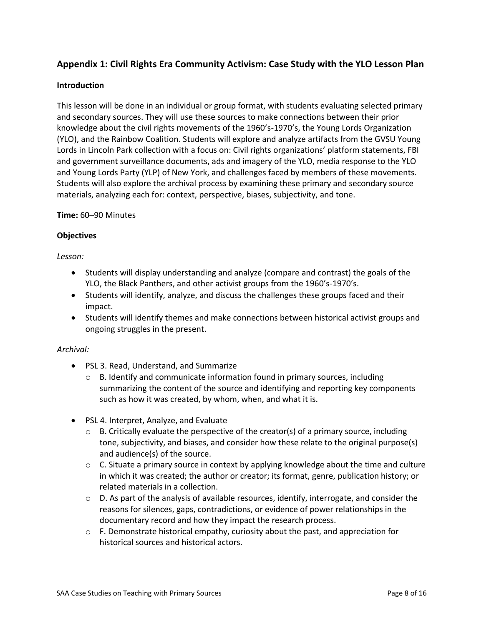# **Appendix 1: Civil Rights Era Community Activism: Case Study with the YLO Lesson Plan**

#### **Introduction**

This lesson will be done in an individual or group format, with students evaluating selected primary and secondary sources. They will use these sources to make connections between their prior knowledge about the civil rights movements of the 1960's-1970's, the Young Lords Organization (YLO), and the Rainbow Coalition. Students will explore and analyze artifacts from the GVSU Young Lords in Lincoln Park collection with a focus on: Civil rights organizations' platform statements, FBI and government surveillance documents, ads and imagery of the YLO, media response to the YLO and Young Lords Party (YLP) of New York, and challenges faced by members of these movements. Students will also explore the archival process by examining these primary and secondary source materials, analyzing each for: context, perspective, biases, subjectivity, and tone.

#### **Time:** 60–90 Minutes

#### **Objectives**

#### *Lesson:*

- Students will display understanding and analyze (compare and contrast) the goals of the YLO, the Black Panthers, and other activist groups from the 1960's-1970's.
- Students will identify, analyze, and discuss the challenges these groups faced and their impact.
- Students will identify themes and make connections between historical activist groups and ongoing struggles in the present.

#### *Archival:*

- PSL 3. Read, Understand, and Summarize
	- $\circ$  B. Identify and communicate information found in primary sources, including summarizing the content of the source and identifying and reporting key components such as how it was created, by whom, when, and what it is.
- PSL 4. Interpret, Analyze, and Evaluate
	- $\circ$  B. Critically evaluate the perspective of the creator(s) of a primary source, including tone, subjectivity, and biases, and consider how these relate to the original purpose(s) and audience(s) of the source.
	- $\circ$  C. Situate a primary source in context by applying knowledge about the time and culture in which it was created; the author or creator; its format, genre, publication history; or related materials in a collection.
	- o D. As part of the analysis of available resources, identify, interrogate, and consider the reasons for silences, gaps, contradictions, or evidence of power relationships in the documentary record and how they impact the research process.
	- $\circ$  F. Demonstrate historical empathy, curiosity about the past, and appreciation for historical sources and historical actors.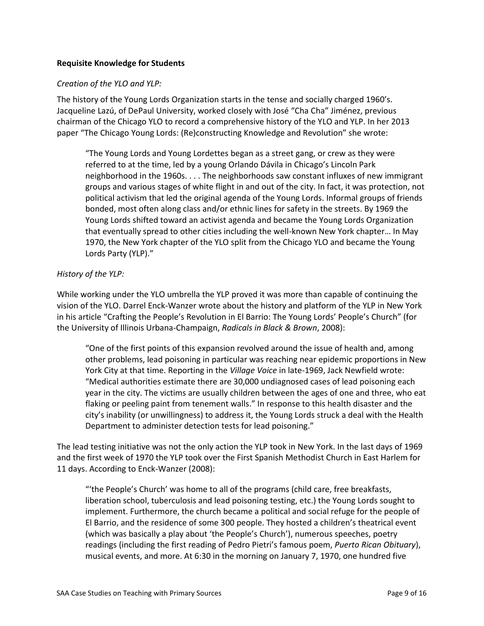#### **Requisite Knowledge for Students**

#### *Creation of the YLO and YLP:*

The history of the Young Lords Organization starts in the tense and socially charged 1960's. Jacqueline Lazú, of DePaul University, worked closely with José "Cha Cha" Jiménez, previous chairman of the Chicago YLO to record a comprehensive history of the YLO and YLP. In her 2013 paper "The Chicago Young Lords: (Re)constructing Knowledge and Revolution" she wrote:

"The Young Lords and Young Lordettes began as a street gang, or crew as they were referred to at the time, led by a young Orlando Dávila in Chicago's Lincoln Park neighborhood in the 1960s. . . . The neighborhoods saw constant influxes of new immigrant groups and various stages of white flight in and out of the city. In fact, it was protection, not political activism that led the original agenda of the Young Lords. Informal groups of friends bonded, most often along class and/or ethnic lines for safety in the streets. By 1969 the Young Lords shifted toward an activist agenda and became the Young Lords Organization that eventually spread to other cities including the well-known New York chapter… In May 1970, the New York chapter of the YLO split from the Chicago YLO and became the Young Lords Party (YLP)."

#### *History of the YLP:*

While working under the YLO umbrella the YLP proved it was more than capable of continuing the vision of the YLO. Darrel Enck-Wanzer wrote about the history and platform of the YLP in New York in his article "Crafting the People's Revolution in El Barrio: The Young Lords' People's Church" (for the University of Illinois Urbana-Champaign, *Radicals in Black & Brown*, 2008):

"One of the first points of this expansion revolved around the issue of health and, among other problems, lead poisoning in particular was reaching near epidemic proportions in New York City at that time. Reporting in the *Village Voice* in late-1969, Jack Newfield wrote: "Medical authorities estimate there are 30,000 undiagnosed cases of lead poisoning each year in the city. The victims are usually children between the ages of one and three, who eat flaking or peeling paint from tenement walls." In response to this health disaster and the city's inability (or unwillingness) to address it, the Young Lords struck a deal with the Health Department to administer detection tests for lead poisoning."

The lead testing initiative was not the only action the YLP took in New York. In the last days of 1969 and the first week of 1970 the YLP took over the First Spanish Methodist Church in East Harlem for 11 days. According to Enck-Wanzer (2008):

"'the People's Church' was home to all of the programs (child care, free breakfasts, liberation school, tuberculosis and lead poisoning testing, etc.) the Young Lords sought to implement. Furthermore, the church became a political and social refuge for the people of El Barrio, and the residence of some 300 people. They hosted a children's theatrical event (which was basically a play about 'the People's Church'), numerous speeches, poetry readings (including the first reading of Pedro Pietri's famous poem, *Puerto Rican Obituary*), musical events, and more. At 6:30 in the morning on January 7, 1970, one hundred five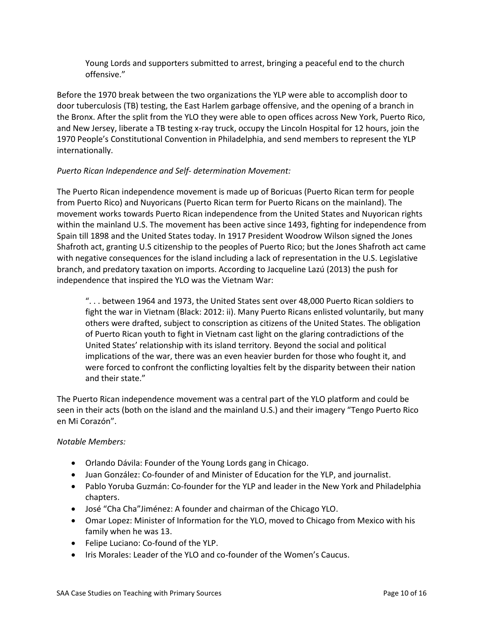Young Lords and supporters submitted to arrest, bringing a peaceful end to the church offensive."

Before the 1970 break between the two organizations the YLP were able to accomplish door to door tuberculosis (TB) testing, the East Harlem garbage offensive, and the opening of a branch in the Bronx. After the split from the YLO they were able to open offices across New York, Puerto Rico, and New Jersey, liberate a TB testing x-ray truck, occupy the Lincoln Hospital for 12 hours, join the 1970 People's Constitutional Convention in Philadelphia, and send members to represent the YLP internationally.

#### *Puerto Rican Independence and Self- determination Movement:*

The Puerto Rican independence movement is made up of Boricuas (Puerto Rican term for people from Puerto Rico) and Nuyoricans (Puerto Rican term for Puerto Ricans on the mainland). The movement works towards Puerto Rican independence from the United States and Nuyorican rights within the mainland U.S. The movement has been active since 1493, fighting for independence from Spain till 1898 and the United States today. In 1917 President Woodrow Wilson signed the Jones Shafroth act, granting U.S citizenship to the peoples of Puerto Rico; but the Jones Shafroth act came with negative consequences for the island including a lack of representation in the U.S. Legislative branch, and predatory taxation on imports. According to Jacqueline Lazú (2013) the push for independence that inspired the YLO was the Vietnam War:

". . . between 1964 and 1973, the United States sent over 48,000 Puerto Rican soldiers to fight the war in Vietnam (Black: 2012: ii). Many Puerto Ricans enlisted voluntarily, but many others were drafted, subject to conscription as citizens of the United States. The obligation of Puerto Rican youth to fight in Vietnam cast light on the glaring contradictions of the United States' relationship with its island territory. Beyond the social and political implications of the war, there was an even heavier burden for those who fought it, and were forced to confront the conflicting loyalties felt by the disparity between their nation and their state."

The Puerto Rican independence movement was a central part of the YLO platform and could be seen in their acts (both on the island and the mainland U.S.) and their imagery "Tengo Puerto Rico en Mi Corazón".

#### *Notable Members:*

- Orlando Dávila: Founder of the Young Lords gang in Chicago.
- Juan González: Co-founder of and Minister of Education for the YLP, and journalist.
- Pablo Yoruba Guzmán: Co-founder for the YLP and leader in the New York and Philadelphia chapters.
- José "Cha Cha"Jiménez: A founder and chairman of the Chicago YLO.
- Omar Lopez: Minister of Information for the YLO, moved to Chicago from Mexico with his family when he was 13.
- Felipe Luciano: Co-found of the YLP.
- Iris Morales: Leader of the YLO and co-founder of the Women's Caucus.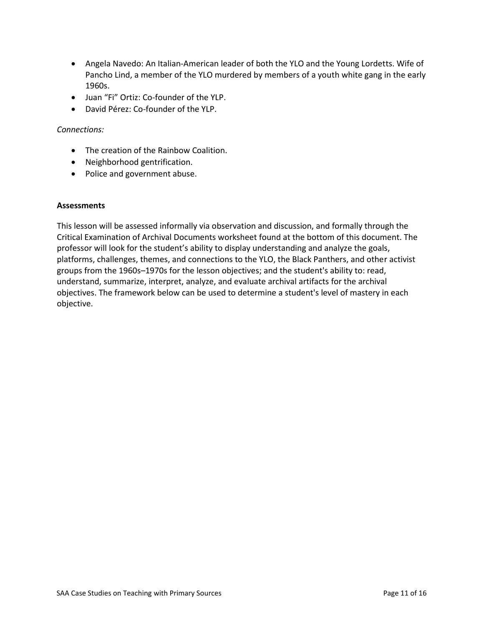- Angela Navedo: An Italian-American leader of both the YLO and the Young Lordetts. Wife of Pancho Lind, a member of the YLO murdered by members of a youth white gang in the early 1960s.
- Juan "Fi" Ortiz: Co-founder of the YLP.
- David Pérez: Co-founder of the YLP.

#### *Connections:*

- The creation of the Rainbow Coalition.
- Neighborhood gentrification.
- Police and government abuse.

#### **Assessments**

This lesson will be assessed informally via observation and discussion, and formally through the Critical Examination of Archival Documents worksheet found at the bottom of this document. The professor will look for the student's ability to display understanding and analyze the goals, platforms, challenges, themes, and connections to the YLO, the Black Panthers, and other activist groups from the 1960s–1970s for the lesson objectives; and the student's ability to: read, understand, summarize, interpret, analyze, and evaluate archival artifacts for the archival objectives. The framework below can be used to determine a student's level of mastery in each objective.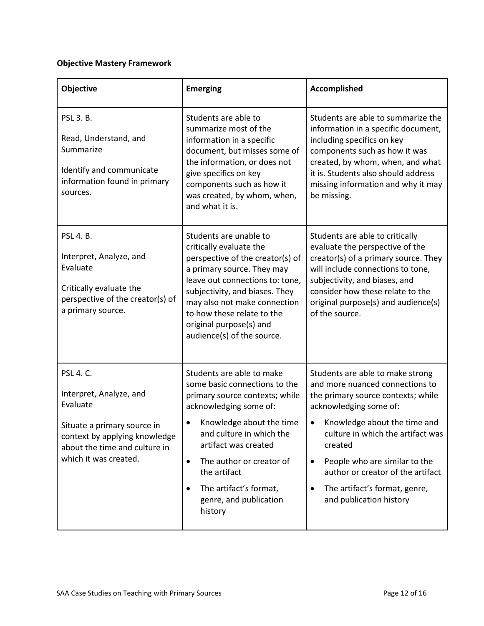# **Objective Mastery Framework**

| Objective                                                                                                                                                                         | <b>Emerging</b>                                                                                                                                                                                                                                                                                                                | Accomplished                                                                                                                                                                                                                                                                                                                                                       |
|-----------------------------------------------------------------------------------------------------------------------------------------------------------------------------------|--------------------------------------------------------------------------------------------------------------------------------------------------------------------------------------------------------------------------------------------------------------------------------------------------------------------------------|--------------------------------------------------------------------------------------------------------------------------------------------------------------------------------------------------------------------------------------------------------------------------------------------------------------------------------------------------------------------|
| <b>PSL 3. B.</b><br>Read, Understand, and<br>Summarize<br>Identify and communicate<br>information found in primary<br>sources.                                                    | Students are able to<br>summarize most of the<br>information in a specific<br>document, but misses some of<br>the information, or does not<br>give specifics on key<br>components such as how it<br>was created, by whom, when,<br>and what it is.                                                                             | Students are able to summarize the<br>information in a specific document,<br>including specifics on key<br>components such as how it was<br>created, by whom, when, and what<br>it is. Students also should address<br>missing information and why it may<br>be missing.                                                                                           |
| <b>PSL 4. B.</b><br>Interpret, Analyze, and<br>Evaluate<br>Critically evaluate the<br>perspective of the creator(s) of<br>a primary source.                                       | Students are unable to<br>critically evaluate the<br>perspective of the creator(s) of<br>a primary source. They may<br>leave out connections to: tone,<br>subjectivity, and biases. They<br>may also not make connection<br>to how these relate to the<br>original purpose(s) and<br>audience(s) of the source.                | Students are able to critically<br>evaluate the perspective of the<br>creator(s) of a primary source. They<br>will include connections to tone,<br>subjectivity, and biases, and<br>consider how these relate to the<br>original purpose(s) and audience(s)<br>of the source.                                                                                      |
| <b>PSL 4. C.</b><br>Interpret, Analyze, and<br>Evaluate<br>Situate a primary source in<br>context by applying knowledge<br>about the time and culture in<br>which it was created. | Students are able to make<br>some basic connections to the<br>primary source contexts; while<br>acknowledging some of:<br>Knowledge about the time<br>and culture in which the<br>artifact was created<br>The author or creator of<br>$\bullet$<br>the artifact<br>The artifact's format,<br>genre, and publication<br>history | Students are able to make strong<br>and more nuanced connections to<br>the primary source contexts; while<br>acknowledging some of:<br>Knowledge about the time and<br>culture in which the artifact was<br>created<br>People who are similar to the<br>$\bullet$<br>author or creator of the artifact<br>The artifact's format, genre,<br>and publication history |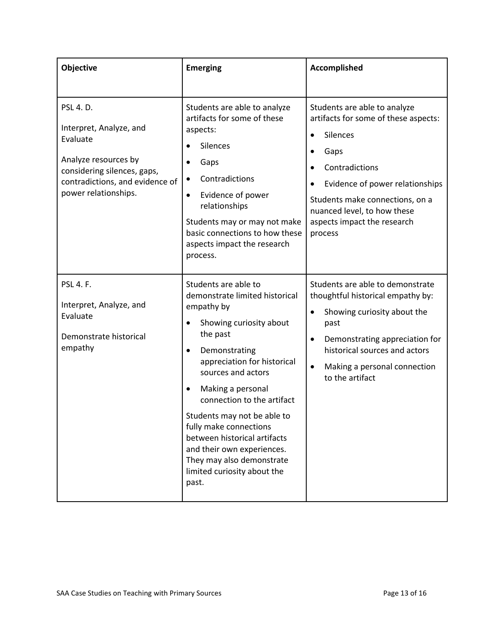| Objective                                                                                                                                                          | <b>Emerging</b>                                                                                                                                                                                                                                                                                                                                                                                                                               | Accomplished                                                                                                                                                                                                                                                                        |
|--------------------------------------------------------------------------------------------------------------------------------------------------------------------|-----------------------------------------------------------------------------------------------------------------------------------------------------------------------------------------------------------------------------------------------------------------------------------------------------------------------------------------------------------------------------------------------------------------------------------------------|-------------------------------------------------------------------------------------------------------------------------------------------------------------------------------------------------------------------------------------------------------------------------------------|
| PSL 4. D.<br>Interpret, Analyze, and<br>Evaluate<br>Analyze resources by<br>considering silences, gaps,<br>contradictions, and evidence of<br>power relationships. | Students are able to analyze<br>artifacts for some of these<br>aspects:<br>Silences<br>Gaps<br>$\bullet$<br>Contradictions<br>Evidence of power<br>$\bullet$<br>relationships<br>Students may or may not make<br>basic connections to how these<br>aspects impact the research<br>process.                                                                                                                                                    | Students are able to analyze<br>artifacts for some of these aspects:<br>Silences<br>$\bullet$<br>Gaps<br>Contradictions<br>$\bullet$<br>Evidence of power relationships<br>Students make connections, on a<br>nuanced level, to how these<br>aspects impact the research<br>process |
| <b>PSL 4. F.</b><br>Interpret, Analyze, and<br>Evaluate<br>Demonstrate historical<br>empathy                                                                       | Students are able to<br>demonstrate limited historical<br>empathy by<br>Showing curiosity about<br>the past<br>Demonstrating<br>$\bullet$<br>appreciation for historical<br>sources and actors<br>Making a personal<br>connection to the artifact<br>Students may not be able to<br>fully make connections<br>between historical artifacts<br>and their own experiences.<br>They may also demonstrate<br>limited curiosity about the<br>past. | Students are able to demonstrate<br>thoughtful historical empathy by:<br>Showing curiosity about the<br>$\bullet$<br>past<br>Demonstrating appreciation for<br>$\bullet$<br>historical sources and actors<br>Making a personal connection<br>$\bullet$<br>to the artifact           |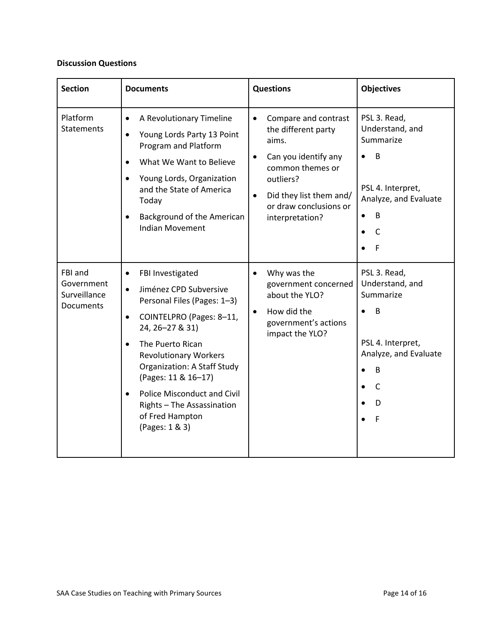# **Discussion Questions**

| <b>Section</b>                                     | <b>Documents</b>                                                                                                                                                                                                                                                                                                                                                                                       | <b>Questions</b>                                                                                                                                                                                                | <b>Objectives</b>                                                                                                                                     |
|----------------------------------------------------|--------------------------------------------------------------------------------------------------------------------------------------------------------------------------------------------------------------------------------------------------------------------------------------------------------------------------------------------------------------------------------------------------------|-----------------------------------------------------------------------------------------------------------------------------------------------------------------------------------------------------------------|-------------------------------------------------------------------------------------------------------------------------------------------------------|
| Platform<br><b>Statements</b>                      | A Revolutionary Timeline<br>$\bullet$<br>Young Lords Party 13 Point<br>$\bullet$<br>Program and Platform<br>What We Want to Believe<br>Young Lords, Organization<br>and the State of America<br>Today<br>Background of the American<br>$\bullet$<br><b>Indian Movement</b>                                                                                                                             | Compare and contrast<br>$\bullet$<br>the different party<br>aims.<br>Can you identify any<br>common themes or<br>outliers?<br>Did they list them and/<br>$\bullet$<br>or draw conclusions or<br>interpretation? | PSL 3. Read,<br>Understand, and<br>Summarize<br>B<br>$\bullet$<br>PSL 4. Interpret,<br>Analyze, and Evaluate<br>B<br>$\bullet$<br>C<br>$\bullet$<br>F |
| FBI and<br>Government<br>Surveillance<br>Documents | FBI Investigated<br>$\bullet$<br>Jiménez CPD Subversive<br>$\bullet$<br>Personal Files (Pages: 1-3)<br>COINTELPRO (Pages: 8-11,<br>$\bullet$<br>24, 26-27 & 31)<br>The Puerto Rican<br>$\bullet$<br><b>Revolutionary Workers</b><br><b>Organization: A Staff Study</b><br>(Pages: 11 & 16-17)<br><b>Police Misconduct and Civil</b><br>Rights - The Assassination<br>of Fred Hampton<br>(Pages: 1 & 3) | Why was the<br>$\bullet$<br>government concerned<br>about the YLO?<br>How did the<br>$\bullet$<br>government's actions<br>impact the YLO?                                                                       | PSL 3. Read,<br>Understand, and<br>Summarize<br>B<br>PSL 4. Interpret,<br>Analyze, and Evaluate<br>B<br>$\bullet$<br>$\mathsf{C}$<br>D<br>F           |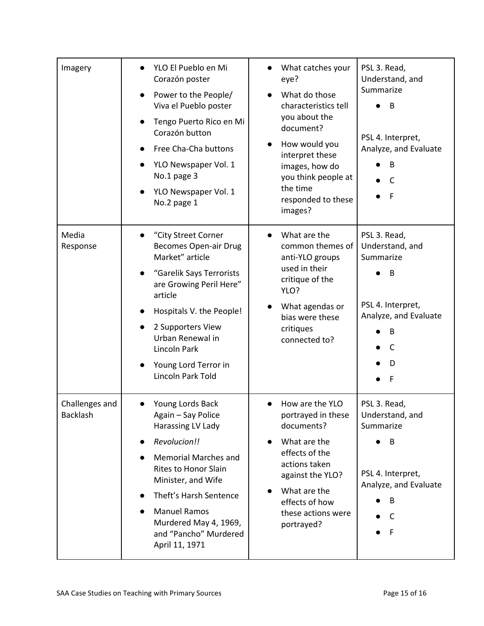| Imagery                           | YLO El Pueblo en Mi<br>Corazón poster<br>Power to the People/<br>Viva el Pueblo poster<br>Tengo Puerto Rico en Mi<br>Corazón button<br>Free Cha-Cha buttons<br>YLO Newspaper Vol. 1<br>No.1 page 3<br>YLO Newspaper Vol. 1<br>No.2 page 1                                            | What catches your<br>eye?<br>What do those<br>characteristics tell<br>you about the<br>document?<br>How would you<br>interpret these<br>images, how do<br>you think people at<br>the time<br>responded to these<br>images? | PSL 3. Read,<br>Understand, and<br>Summarize<br>B<br>PSL 4. Interpret,<br>Analyze, and Evaluate<br>B<br>C<br>F      |
|-----------------------------------|--------------------------------------------------------------------------------------------------------------------------------------------------------------------------------------------------------------------------------------------------------------------------------------|----------------------------------------------------------------------------------------------------------------------------------------------------------------------------------------------------------------------------|---------------------------------------------------------------------------------------------------------------------|
| Media<br>Response                 | "City Street Corner<br><b>Becomes Open-air Drug</b><br>Market" article<br>"Garelik Says Terrorists<br>are Growing Peril Here"<br>article<br>Hospitals V. the People!<br>2 Supporters View<br>Urban Renewal in<br>Lincoln Park<br>Young Lord Terror in<br>Lincoln Park Told           | What are the<br>common themes of<br>anti-YLO groups<br>used in their<br>critique of the<br>YLO?<br>What agendas or<br>bias were these<br>critiques<br>connected to?                                                        | PSL 3. Read,<br>Understand, and<br>Summarize<br>В<br>PSL 4. Interpret,<br>Analyze, and Evaluate<br>B<br>C<br>D<br>F |
| Challenges and<br><b>Backlash</b> | Young Lords Back<br>Again - Say Police<br>Harassing LV Lady<br>Revolucion!!<br><b>Memorial Marches and</b><br><b>Rites to Honor Slain</b><br>Minister, and Wife<br>Theft's Harsh Sentence<br><b>Manuel Ramos</b><br>Murdered May 4, 1969,<br>and "Pancho" Murdered<br>April 11, 1971 | How are the YLO<br>portrayed in these<br>documents?<br>What are the<br>effects of the<br>actions taken<br>against the YLO?<br>What are the<br>effects of how<br>these actions were<br>portrayed?                           | PSL 3. Read,<br>Understand, and<br>Summarize<br>B<br>PSL 4. Interpret,<br>Analyze, and Evaluate<br>B<br>C<br>F      |